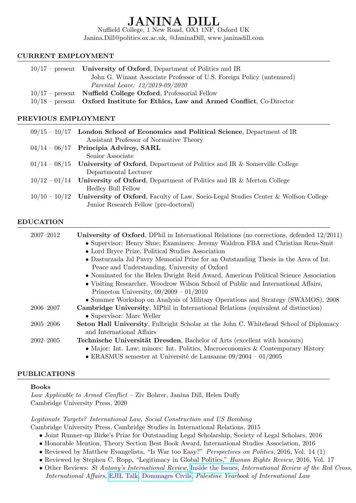# VINA DILL

Nuffield College, 1 New Road, OX1 1NF, Oxford UK Janina.Dill@politics.ox.ac.uk, @JaninaDill, www.janinadill.com

#### CURRENT EMPLOYMENT

| $10/17$ – present University of Oxford, Department of Politics and IR              |
|------------------------------------------------------------------------------------|
| John G. Winant Associate Professor of U.S. Foreign Policy (untenured)              |
| Parental Leave: 12/2019-09/2020                                                    |
| $10/17$ – present Nuffield College Oxford, Professorial Fellow                     |
| $10/18$ – present Oxford Institute for Ethics, Law and Armed Conflict, Co-Director |
|                                                                                    |

#### PREVIOUS EMPLOYMENT

| $09/15 - 10/17$ London School of Economics and Political Science, Department of IR                 |
|----------------------------------------------------------------------------------------------------|
| Assistant Professor of Normative Theory                                                            |
| $04/14 - 06/17$ Principia Adviroy, SARL                                                            |
| Senior Associate                                                                                   |
| $01/14 - 08/15$ University of Oxford, Department of Politics and IR & Somerville College           |
| Departmental Lecturer                                                                              |
| $10/12 - 01/14$ University of Oxford, Department of Politics and IR & Merton College               |
| <b>Hedley Bull Fellow</b>                                                                          |
| $10/10 - 10/12$ University of Oxford, Faculty of Law, Socio-Legal Studies Center & Wolfson College |
| Junior Research Fellow (pre-doctoral)                                                              |
|                                                                                                    |

#### EDUCATION

| $2007 - 2012$ | University of Oxford, DPhil in International Relations (no corrections, defended $12/2011$ ) |
|---------------|----------------------------------------------------------------------------------------------|
|               | • Supervisor: Henry Shue; Examiners: Jeremy Waldron FBA and Christian Reus-Smit              |
|               | • Lord Bryce Prize, Political Studies Association                                            |
|               | • Dasturzada Jal Pavry Memorial Prize for an Outstanding Thesis in the Area of Int.          |
|               | Peace and Understanding, University of Oxford                                                |
|               | • Nominated for the Helen Dwight Reid Award, American Political Science Association          |
|               | • Visiting Researcher, Woodrow Wilson School of Public and International Affairs,            |
|               | Princeton University, $09/2009 - 01/2010$                                                    |
|               | • Summer Workshop on Analysis of Military Operations and Strategy (SWAMOS), 2008             |
| $2006 - 2007$ | <b>Cambridge University, MPhil in International Relations (equivalent of distinction)</b>    |
|               | $\bullet$ Supervisor: Marc Weller                                                            |
| $2005 - 2006$ | <b>Seton Hall University, Fulbright Scholar at the John C. Whitehead School of Diplomacy</b> |
|               | and International Affairs                                                                    |
| $2002 - 2005$ | <b>Technische Universität Dresden, Bachelor of Arts (excellent with honours)</b>             |
|               | • Major: Int. Law; minors: Int. Politics, Macroeconomics & Contemporary History              |
|               | • ERASMUS semester at Université de Lausanne $09/2004 - 01/2005$                             |
|               |                                                                                              |

#### PUBLICATIONS

#### Books

Law Applicable to Armed Conflict – Ziv Bohrer, Janina Dill, Helen Duffy Cambridge University Press, 2020

Legitimate Targets? International Law, Social Construction and US Bombing

Cambridge University Press, Cambridge Studies in International Relations, 2015

- Joint Runner-up Birke's Prize for Outstanding Legal Scholarship, Society of Legal Scholars, 2016
- Honorable Mention, Theory Section Best Book Award, International Studies Association, 2016
- Reviewed by Matthew Evangelista, "Is War too Easy?" Perspectives on Politics, 2016, Vol. 14 (1)
- Reviewed by Stephen C. Ropp, "Legitimacy in Global Politics," Human Rights Review, 2016, Vol. 17
- Other Reviews: St Antony's International Review, [Inside the Issues,](https://www.youtube.com/watch?v=Fb_F0iEe_mc&feature=emb_title) International Review of the Red Cross, International Affairs, [EJIL Talk,](https://www.ejiltalk.org/reply-to-brunnee-and-corn/) [Dommages Civils,](https://dommagescivils.wordpress.com/2015/02/11/logiques-de-guerre-et-application-du-droit-international-humanitaire/) Palestine Yearbook of International Law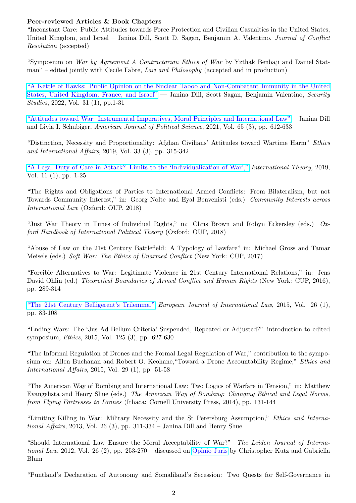## Peer-reviewed Articles & Book Chapters

"Inconstant Care: Public Attitudes towards Force Protection and Civilian Casualties in the United States, United Kingdom, and Israel – Janina Dill, Scott D. Sagan, Benjamin A. Valentino, Journal of Conflict Resolution (accepted)

"Symposium on War by Agreement A Contractarian Ethics of War by Yzthak Benbaji and Daniel Stat- $\text{man}$ " – edited jointly with Cecile Fabre, *Law and Philosophy* (accepted and in production)

["A Kettle of Hawks: Public Opinion on the Nuclear Taboo and Non-Combatant Immunity in the United](https://www.tandfonline.com/doi/full/10.1080/09636412.2022.2038663) [States, United Kingdom, France, and Israel"](https://www.tandfonline.com/doi/full/10.1080/09636412.2022.2038663) — Janina Dill, Scott Sagan, Benjamin Valentino, Security Studies, 2022, Vol. 31 (1), pp.1-31

["Attitudes toward War: Instrumental Imperatives, Moral Principles and International Law"](https://https://onlinelibrary.wiley.com/doi/10.1111/ajps.12635?af=R) – Janina Dill and Livia I. Schubiger, American Journal of Political Science, 2021, Vol. 65 (3), pp. 612-633

"Distinction, Necessity and Proportionality: Afghan Civilians' Attitudes toward Wartime Harm" Ethics and International Affairs, 2019, Vol. 33 (3), pp. 315-342

["A Legal Duty of Care in Attack? Limits to the 'Individualization of War',"](https://www.cambridge.org/core/journals/international-theory/article/do-attackers-have-a-legal-duty-of-care-limits-to-the-individualization-of-war/E1F5B3C4D4744F2B11BD690948E61564) International Theory, 2019, Vol. 11 (1), pp. 1-25

"The Rights and Obligations of Parties to International Armed Conflicts: From Bilateralism, but not Towards Community Interest," in: Georg Nolte and Eyal Benvenisti (eds.) Community Interests across International Law (Oxford: OUP, 2018)

"Just War Theory in Times of Individual Rights," in: Chris Brown and Robyn Eckersley (eds.)  $Ox$ ford Handbook of International Political Theory (Oxford: OUP, 2018)

"Abuse of Law on the 21st Century Battlefield: A Typology of Lawfare" in: Michael Gross and Tamar Meisels (eds.) Soft War: The Ethics of Unarmed Conflict (New York: CUP, 2017)

"Forcible Alternatives to War: Legitimate Violence in 21st Century International Relations," in: Jens David Ohlin (ed.) Theoretical Boundaries of Armed Conflict and Human Rights (New York: CUP, 2016), pp. 289-314

["The 21st Century Belligerent's Trilemma,"](https://academic.oup.com/ejil/article/26/1/83/497498) European Journal of International Law, 2015, Vol. 26 (1), pp. 83-108

"Ending Wars: The 'Jus Ad Bellum Criteria' Suspended, Repeated or Adjusted?" introduction to edited symposium, Ethics, 2015, Vol. 125 (3), pp. 627-630

"The Informal Regulation of Drones and the Formal Legal Regulation of War," contribution to the symposium on: Allen Buchanan and Robert O. Keohane,"Toward a Drone Accountability Regime," Ethics and International Affairs, 2015, Vol. 29 (1), pp. 51-58

"The American Way of Bombing and International Law: Two Logics of Warfare in Tension," in: Matthew Evangelista and Henry Shue (eds.) The American Way of Bombing: Changing Ethical and Legal Norms, from Flying Fortresses to Drones (Ithaca: Cornell University Press, 2014), pp. 131-144

"Limiting Killing in War: Military Necessity and the St Petersburg Assumption," Ethics and International Affairs, 2013, Vol. 26 (3), pp. 311-334 – Janina Dill and Henry Shue

"Should International Law Ensure the Moral Acceptability of War?" The Leiden Journal of International Law, 2012, Vol. 26 (2), pp. 253-270 – discussed on [Opinio Juris](http://opiniojuris.org/2013/11/18/ljil-symposium-comment-janina-dills-international-law-ensure-moral-acceptability-war/) by Christopher Kutz and Gabriella Blum

"Puntland's Declaration of Autonomy and Somaliland's Secession: Two Quests for Self-Governance in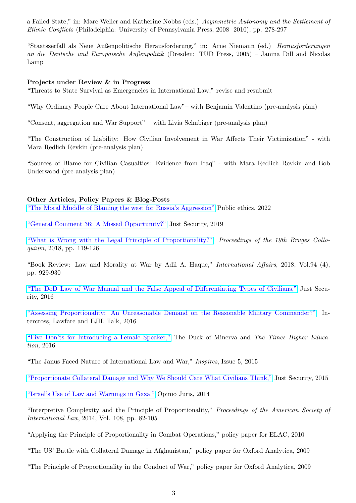a Failed State," in: Marc Weller and Katherine Nobbs (eds.) Asymmetric Autonomy and the Settlement of Ethnic Conflicts (Philadelphia: University of Pennsylvania Press, 2008 2010), pp. 278-297

"Staatszerfall als Neue Außenpolitische Herausforderung," in: Arne Niemann (ed.) Herausforderungen an die Deutsche und Europäische Außenpolitik (Dresden: TUD Press, 2005) – Janina Dill and Nicolas Lamp

#### Projects under Review & in Progress

"Threats to State Survival as Emergencies in International Law," revise and resubmit

"Why Ordinary People Care About International Law"– with Benjamin Valentino (pre-analysis plan)

"Consent, aggregation and War Support" – with Livia Schubiger (pre-analysis plan)

"The Construction of Liability: How Civilian Involvement in War Affects Their Victimization" - with Mara Redlich Revkin (pre-analysis plan)

"Sources of Blame for Civilian Casualties: Evidence from Iraq" - with Mara Redlich Revkin and Bob Underwood (pre-analysis plan)

#### Other Articles, Policy Papers & Blog-Posts

["The Moral Muddle of Blaming the west for Russia's Aggression"](https://www.publicethics.org/post/the-moral-muddle-of-blaming-the-west-for-russia-s-aggression) Public ethics, 2022

["General Comment 36: A Missed Opportunity?"](https://www.justsecurity.org/62473/general-comment-36-missed-opportunity/) Just Security, 2019

["What is Wrong with the Legal Principle of Proportionality?"](https://www.coleurope.eu/system/tdf/uploads/page/collegium_49.pdf?file=1&type=node&id=1103&force ) Proceedings of the 19th Bruges Colloquium, 2018, pp. 119-126

"Book Review: Law and Morality at War by Adil A. Haque," International Affairs, 2018, Vol.94 (4), pp. 929-930

["The DoD Law of War Manual and the False Appeal of Differentiating Types of Civilians,"](https://www.justsecurity.org/35068/dod-law-war-manual-false-appeal-differentiating-types-civilians/) Just Security, 2016

["Assessing Proportionality: An Unreasonable Demand on the Reasonable Military Commander?"](https://intercrossblog.icrc.org/blog/r19aesa7v1kylcc5a4hbcwvfx8imus) Intercross, Lawfare and EJIL Talk, 2016

["Five Don'ts for Introducing a Female Speaker,"](https://duckofminerva.com/2016/05/five-donts-for-introducing-a-female-speaker-and-why-this-matters.html) The Duck of Minerva and The Times Higher Education, 2016

"The Janus Faced Nature of International Law and War," Inspires, Issue 5, 2015

["Proportionate Collateral Damage and Why We Should Care What Civilians Think,"](https://www.justsecurity.org/21529/meaning-proportionate-collateral-damage-care-civilians/) Just Security, 2015

["Israel's Use of Law and Warnings in Gaza,"](http://opiniojuris.org/2014/07/30/guest-post-israels-use-law-warnings-gaza/) Opinio Juris, 2014

"Interpretive Complexity and the Principle of Proportionality," Proceedings of the American Society of International Law, 2014, Vol. 108, pp. 82-105

"Applying the Principle of Proportionality in Combat Operations," policy paper for ELAC, 2010

"The US' Battle with Collateral Damage in Afghanistan," policy paper for Oxford Analytica, 2009

"The Principle of Proportionality in the Conduct of War," policy paper for Oxford Analytica, 2009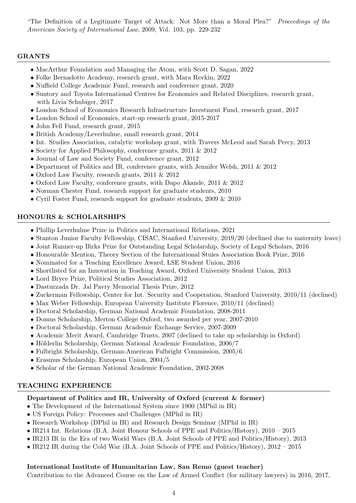"The Definition of a Legitimate Target of Attack: Not More than a Moral Plea?" Proceedings of the American Society of International Law, 2009, Vol. 103, pp. 229-232

### GRANTS

- MacArthur Foundation and Managing the Atom, with Scott D. Sagan, 2022
- Folke Bernadotte Academy, research grant, with Mara Revkin, 2022
- Nuffield College Academic Fund, research and conference grant, 2020
- Suntory and Toyota International Centres for Economics and Related Disciplines, research grant, with Livia Schubiger, 2017
- London School of Economics Research Infrastructure Investment Fund, research grant, 2017
- London School of Economics, start-up research grant, 2015-2017
- John Fell Fund, research grant, 2015
- British Academy/Leverhulme, small research grant, 2014
- Int. Studies Association, catalytic workshop grant, with Travers McLeod and Sarah Percy, 2013
- Society for Applied Philosophy, conference grants, 2011 & 2012
- Journal of Law and Society Fund, conference grant, 2012
- Department of Politics and IR, conference grants, with Jennifer Welsh, 2011 & 2012
- Oxford Law Faculty, research grants, 2011 & 2012
- Oxford Law Faculty, conference grants, with Dapo Akande, 2011 & 2012
- Norman Chester Fund, research support for graduate students, 2010
- Cyril Foster Fund, research support for graduate students, 2009 & 2010

# HONOURS & SCHOLARSHIPS

- Phillip Leverhulme Prize in Politics and International Relations, 2021
- Stanton Junior Faculty Fellowship, CISAC, Stanford University, 2019/20 (declined due to maternity leave)
- Joint Runner-up Birks Prize for Outstanding Legal Scholarship, Society of Legal Scholars, 2016
- Honourable Mention, Theory Section of the International Stuies Association Book Prize, 2016
- Nominated for a Teaching Excellence Award, LSE Student Union, 2016
- Shortlisted for an Innovation in Teaching Award, Oxford University Student Union, 2013
- Lord Bryce Prize, Political Studies Association, 2012
- Dasturzada Dr. Jal Pavry Memorial Thesis Prize, 2012
- Zuckerman Fellowship, Center for Int. Security and Cooperation, Stanford University, 2010/11 (declined)
- Max Weber Fellowship, European University Institute Florence, 2010/11 (declined)
- Doctoral Scholarship, German National Academic Foundation, 2008-2011
- Domus Scholarship, Merton College Oxford, two awarded per year, 2007-2010
- Doctoral Scholarship, German Academic Exchange Service, 2007-2009
- Academic Merit Award, Cambridge Trusts, 2007 (declined to take up scholarship in Oxford)
- Hölderlin Scholarship, German National Academic Foundation, 2006/7
- Fulbright Scholarship, German-American Fulbright Commission, 2005/6
- Erasmus Scholarship, European Union, 2004/5
- Scholar of the German National Academic Foundation, 2002-2008

#### TEACHING EXPERIENCE

# Department of Politics and IR, University of Oxford (current & former)

- The Development of the International System since 1900 (MPhil in IR)
- US Foreign Policy: Processes and Challenges (MPhil in IR)
- Research Workshop (DPhil in IR) and Research Design Seminar (MPhil in IR)
- IR214 Int. Relations (B.A. Joint Honour Schools of PPE and Politics/History), 2010 2015
- IR213 IR in the Era of two World Wars (B.A. Joint Schools of PPE and Politics/History), 2013
- IR212 IR during the Cold War (B.A. Joint Schools of PPE and Politics/History), 2012 2015

# International Institute of Humanitarian Law, San Remo (guest teacher)

Contribution to the Advanced Course on the Law of Armed Conflict (for military lawyers) in 2016, 2017,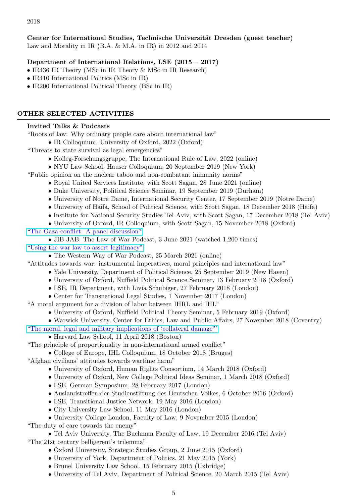Center for International Studies, Technische Universität Dresden (guest teacher) Law and Morality in IR (B.A. & M.A. in IR) in 2012 and 2014

Department of International Relations, LSE (2015 – 2017)

• IR436 IR Theory (MSc in IR Theory & MSc in IR Research)

• IR410 International Politics (MSc in IR)

• IR200 International Political Theory (BSc in IR)

### OTHER SELECTED ACTIVITIES

### Invited Talks & Podcasts

"Roots of law: Why ordinary people care about international law"

• IR Colloquium, University of Oxford, 2022 (Oxford)

"Threats to state survival as legal emergencies"

- Kolleg-Forschungsgruppe, The International Rule of Law, 2022 (online)
- NYU Law School, Hauser Colloquium, 20 September 2019 (New York)

"Public opinion on the nuclear taboo and non-combatant immunity norms"

- Royal United Services Institute, with Scott Sagan, 28 June 2021 (online)
- Duke University, Political Science Seminar, 19 September 2019 (Durham)
- University of Notre Dame, International Security Center, 17 September 2019 (Notre Dame)
- University of Haifa, School of Political Science, with Scott Sagan, 18 December 2018 (Haifa)
- Institute for National Security Studies Tel Aviv, with Scott Sagan, 17 December 2018 (Tel Aviv)

• University of Oxford, IR Colloquium, with Scott Sagan, 15 November 2018 (Oxford)

["The Gaza conflict: A panel discussion"](https://soundcloud.com/cxm-444054529)

• JIB JAB: The Law of War Podcast, 3 June 2021 (watched 1,200 times)

- ["Using the war law to assert legitimacy"](https://westernwayofwar.libsyn.com/using-the-war-law-to-assert-legitimacy)
	- The Western Way of War Podcast, 25 March 2021 (online)

"Attitudes towards war: instrumental imperatives, moral principles and international law"

- Yale University, Department of Political Science, 25 September 2019 (New Haven)
- University of Oxford, Nuffield Political Science Seminar, 13 February 2018 (Oxford)
- LSE, IR Department, with Livia Schubiger, 27 February 2018 (London)
- Center for Transnational Legal Studies, 1 November 2017 (London)

"A moral argument for a division of labor between IHRL and IHL"

• University of Oxford, Nuffield Political Theory Seminar, 5 February 2019 (Oxford)

• Warwick University, Center for Ethics, Law and Public Affairs, 27 November 2018 (Coventry) ["The moral, legal and military implications of 'collateral damage"'](https://www.youtube.com/watch?v=sNJAFyFf4Go&feature=emb_title)

• Harvard Law School, 11 April 2018 (Boston)

"The principle of proportionality in non-international armed conflict"

• College of Europe, IHL Colloquium, 18 October 2018 (Bruges)

"Afghan civilians' attitudes towards wartime harm"

- University of Oxford, Human Rights Consortium, 14 March 2018 (Oxford)
- University of Oxford, New College Political Ideas Seminar, 1 March 2018 (Oxford)
- LSE, German Symposium, 28 February 2017 (London)
- Auslandstreffen der Studienstiftung des Deutschen Volkes, 6 October 2016 (Oxford)
- LSE, Transitional Justice Network, 19 May 2016 (London)
- City University Law School, 11 May 2016 (London)
- University College London, Faculty of Law, 9 November 2015 (London)

"The duty of care towards the enemy"

• Tel Aviv University, The Buchman Faculty of Law, 19 December 2016 (Tel Aviv) "The 21st century belligerent's trilemma"

- Oxford University, Strategic Studies Group, 2 June 2015 (Oxford)
- University of York, Department of Politics, 21 May 2015 (York)
- Brunel University Law School, 15 February 2015 (Uxbridge)
- University of Tel Aviv, Department of Political Science, 20 March 2015 (Tel Aviv)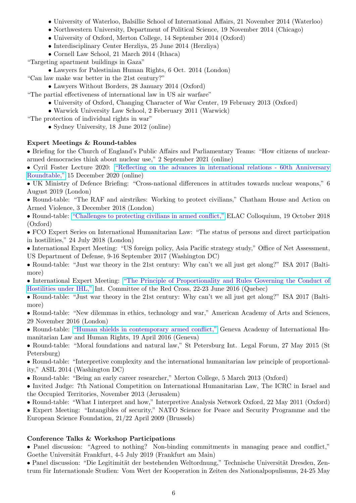- University of Waterloo, Balsillie School of International Affairs, 21 November 2014 (Waterloo)
- Northwestern University, Department of Political Science, 19 November 2014 (Chicago)
- University of Oxford, Merton College, 14 September 2014 (Oxford)
- Interdisciplinary Center Herzliya, 25 June 2014 (Herzliya)
- Cornell Law School, 21 March 2014 (Ithaca)

"Targeting apartment buildings in Gaza"

• Lawyers for Palestinian Human Rights, 6 Oct. 2014 (London)

"Can law make war better in the 21st century?"

• Lawyers Without Borders, 28 January 2014 (Oxford)

"The partial effectiveness of international law in US air warfare"

- University of Oxford, Changing Character of War Center, 19 February 2013 (Oxford)
- Warwick University Law School, 2 Feberuary 2011 (Warwick)

"The protection of individual rights in war"

• Sydney University, 18 June 2012 (online)

# Expert Meetings & Round-tables

• Briefing for the Church of England's Public Affairs and Parliamentary Teams: "How citizens of nucleararmed democracies think about nuclear use," 2 September 2021 (online)

• Cyril Foster Lecture 2020: ["Reflecting on the advances in international relations - 60th Anniversary](https:https://www.youtube.com/watch?v=2MTcdhtd5ys) [Roundtable,"](https:https://www.youtube.com/watch?v=2MTcdhtd5ys) 15 December 2020 (online)

• UK Ministry of Defence Briefing: "Cross-national differences in attitudes towards nuclear weapons," 6 August 2019 (London)

• Round-table: "The RAF and airstrikes: Working to protect civilians," Chatham House and Action on Armed Violence, 3 December 2018 (London)

• Round-table: ["Challenges to protecting civilians in armed conflict,"](https://www.youtube.com/watch?v=vKXMuUyKglg) ELAC Colloquium, 19 October 2018 (Oxford)

• FCO Expert Series on International Humanitarian Law: "The status of persons and direct participation in hostilities," 24 July 2018 (London)

• International Expert Meeting: "US foreign policy, Asia Pacific strategy study," Office of Net Assessment, US Department of Defense, 9-16 September 2017 (Washington DC)

• Round-table: "Just war theory in the 21st century: Why can't we all just get along?" ISA 2017 (Baltimore)

• International Expert Meeting: ["The Principle of Proportionality and Rules Governing the Conduct of](https://www.icrc.org/en/document/international-expert-meeting-report-principle-proportionality) [Hostilities under IHL,"](https://www.icrc.org/en/document/international-expert-meeting-report-principle-proportionality) Int. Committee of the Red Cross, 22-23 June 2016 (Quebec)

• Round-table: "Just war theory in the 21st century: Why can't we all just get along?" ISA 2017 (Baltimore)

• Round-table: "New dilemmas in ethics, technology and war," American Academy of Arts and Sciences, 29 November 2016 (London)

• Round-table: ["Human shields in contemporary armed conflict,"](https://www.youtube.com/watch?v=-MHDy6whU28) Geneva Academy of International Humanitarian Law and Human Rights, 19 April 2016 (Geneva)

• Round-table: "Moral foundations and natural law," St Petersburg Int. Legal Forum, 27 May 2015 (St Petersburg)

• Round-table: "Interpretive complexity and the international humanitarian law principle of proportionality," ASIL 2014 (Washington DC)

• Round-table: "Being an early career researcher," Merton College, 5 March 2013 (Oxford)

• Invited Judge: 7th National Competition on International Humanitarian Law, The ICRC in Israel and the Occupied Territories, November 2013 (Jerusalem)

• Round-table: "What I interpret and how," Interpretive Analysis Network Oxford, 22 May 2011 (Oxford)

• Expert Meeting: "Intangibles of security," NATO Science for Peace and Security Programme and the European Science Foundation, 21/22 April 2009 (Brussels)

# Conference Talks & Workshop Participations

• Panel discussion: "Agreed to nothing? Non-binding commitments in managing peace and conflict," Goethe Universität Frankfurt, 4-5 July 2019 (Frankfurt am Main)

• Panel discussion: "Die Legitimität der bestehenden Weltordnung," Technische Universität Dresden, Zentrum für Internationale Studien: Vom Wert der Kooperation in Zeiten des Nationalpopulismus, 24-25 May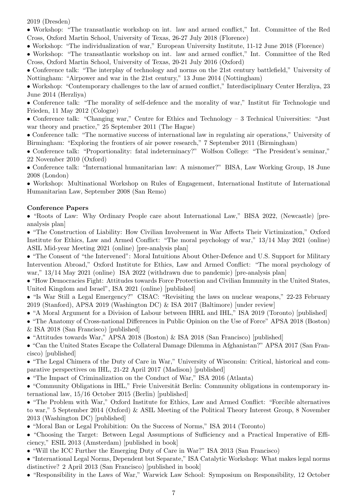2019 (Dresden)

• Workshop: "The transatlantic workshop on int. law and armed conflict," Int. Committee of the Red Cross, Oxford Martin School, University of Texas, 26-27 July 2018 (Florence)

• Workshop: "The individualization of war," European University Institute, 11-12 June 2018 (Florence)

• Workshop: "The transatlantic workshop on int. law and armed conflict," Int. Committee of the Red Cross, Oxford Martin School, University of Texas, 20-21 July 2016 (Oxford)

• Conference talk: "The interplay of technology and norms on the 21st century battlefield," University of Nottingham: "Airpower and war in the 21st century," 13 June 2014 (Nottingham)

• Workshop: "Contemporary challenges to the law of armed conflict," Interdisciplinary Center Herzliya, 23 June 2014 (Herzliya)

• Conference talk: "The morality of self-defence and the morality of war," Institut für Technologie und Frieden, 11 May 2012 (Cologne)

• Conference talk: "Changing war," Centre for Ethics and Technology – 3 Technical Universities: "Just war theory and practice," 25 September 2011 (The Hague)

• Conference talk: "The normative success of international law in regulating air operations," University of Birmingham: "Exploring the frontiers of air power research," 7 September 2011 (Birmingham)

• Conference talk: "Proportionality: fatal indeterminacy?" Wolfson College: "The President's seminar," 22 November 2010 (Oxford)

• Conference talk: "International humanitarian law: A misnomer?" BISA, Law Working Group, 18 June 2008 (London)

• Workshop: Multinational Workshop on Rules of Engagement, International Institute of International Humanitarian Law, September 2008 (San Remo)

# Conference Papers

• "Roots of Law: Why Ordinary People care about International Law," BISA 2022, (Newcastle) [preanalysis plan]

• "The Construction of Liability: How Civilian Involvement in War Affects Their Victimization," Oxford Institute for Ethics, Law and Armed Conflict: "The moral psychology of war," 13/14 May 2021 (online) ASIL Mid-year Meeting 2021 (online) [pre-analysis plan]

• "The Consent of "the Intervened": Moral Intuitions About Other-Defence and U.S. Support for Military Intervention Abroad," Oxford Institute for Ethics, Law and Armed Conflict: "The moral psychology of war," 13/14 May 2021 (online) ISA 2022 (withdrawn due to pandemic) [pre-analysis plan]

• "How Democracies Fight: Attitudes towards Force Protection and Civilian Immunity in the United States, United Kingdom and Israel", ISA 2021 (online) [published]

• "Is War Still a Legal Emergency?" CISAC: "Revisiting the laws on nuclear weapons," 22-23 February 2019 (Stanford), APSA 2019 (Washington DC) & ISA 2017 (Baltimore) [under review]

• "A Moral Argument for a Division of Labour between IHRL and IHL," ISA 2019 (Toronto) [published]

• "The Anatomy of Cross-national Differences in Public Opinion on the Use of Force" APSA 2018 (Boston) & ISA 2018 (San Francisco) [published]

• "Attitudes towards War," APSA 2018 (Boston) & ISA 2018 (San Francisco) [published]

• "Can the United States Escape the Collateral Damage Dilemma in Afghanistan?" APSA 2017 (San Francisco) [published]

• "The Legal Chimera of the Duty of Care in War," University of Wisconsin: Critical, historical and comparative perspectives on IHL, 21-22 April 2017 (Madison) [published]

• "The Impact of Criminalization on the Conduct of War," ISA 2016 (Atlanta)

• "Community Obligations in IHL," Freie Universität Berlin: Community obligations in contemporary international law, 15/16 October 2015 (Berlin) [published]

• "The Problem with War," Oxford Institute for Ethics, Law and Armed Conflict: "Forcible alternatives to war," 5 September 2014 (Oxford) & ASIL Meeting of the Political Theory Interest Group, 8 November 2013 (Washington DC) [published]

• "Moral Ban or Legal Prohibition: On the Success of Norms," ISA 2014 (Toronto)

• "Choosing the Target: Between Legal Assumptions of Sufficiency and a Practical Imperative of Efficiency," ESIL 2013 (Amsterdam) [published in book]

• "Will the ICC Further the Emerging Duty of Care in War?" ISA 2013 (San Francisco)

• "International Legal Norms, Dependent but Separate," ISA Catalytic Workshop: What makes legal norms distinctive? 2 April 2013 (San Francisco) [published in book]

• "Responsibility in the Laws of War," Warwick Law School: Symposium on Responsibility, 12 October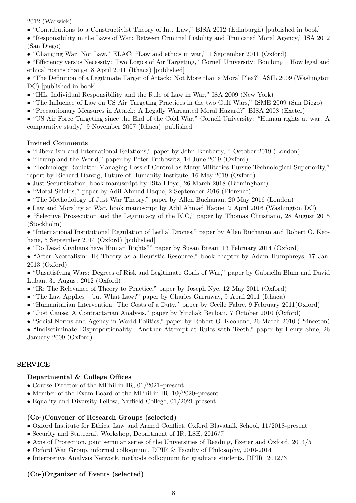2012 (Warwick)

• "Contributions to a Constructivist Theory of Int. Law," BISA 2012 (Edinburgh) [published in book]

• "Responsibility in the Laws of War: Between Criminal Liability and Truncated Moral Agency," ISA 2012 (San Diego)

• "Changing War, Not Law," ELAC: "Law and ethics in war," 1 September 2011 (Oxford)

• "Efficiency versus Necessity: Two Logics of Air Targeting," Cornell University: Bombing – How legal and ethical norms change, 8 April 2011 (Ithaca) [published]

• "The Definition of a Legitimate Target of Attack: Not More than a Moral Plea?" ASIL 2009 (Washington DC) [published in book]

- "IHL, Individual Responsibility and the Rule of Law in War," ISA 2009 (New York)
- "The Influence of Law on US Air Targeting Practices in the two Gulf Wars," ISME 2009 (San Diego)
- "Precautionary Measures in Attack: A Legally Warranted Moral Hazard?" BISA 2008 (Exeter)
- "US Air Force Targeting since the End of the Cold War," Cornell University: "Human rights at war: A comparative study," 9 November 2007 (Ithaca) [published]

### Invited Comments

- "Liberalism and International Relations," paper by John Ikenberry, 4 October 2019 (London)
- "Trump and the World," paper by Peter Trubowitz, 14 June 2019 (Oxford)
- "Technology Roulette: Managing Loss of Control as Many Militaries Pursue Technological Superiority." report by Richard Danzig, Future of Humanity Institute, 16 May 2019 (Oxford)
- Just Securitization, book manuscript by Rita Floyd, 26 March 2018 (Birmingham)
- "Moral Shields," paper by Adil Ahmad Haque, 2 September 2016 (Florence)
- "The Methodology of Just War Theory," paper by Allen Buchanan, 20 May 2016 (London)
- Law and Morality at War, book manuscript by Adil Ahmad Haque, 2 April 2016 (Washington DC)
- "Selective Prosecution and the Legitimacy of the ICC," paper by Thomas Christiano, 28 August 2015 (Stockholm)

• "International Institutional Regulation of Lethal Drones," paper by Allen Buchanan and Robert O. Keohane, 5 September 2014 (Oxford) [published]

- "Do Dead Civilians have Human Rights?" paper by Susan Breau, 13 February 2014 (Oxford)
- "After Neorealism: IR Theory as a Heuristic Resource," book chapter by Adam Humphreys, 17 Jan. 2013 (Oxford)

• "Unsatisfying Wars: Degrees of Risk and Legitimate Goals of War," paper by Gabriella Blum and David Luban, 31 August 2012 (Oxford)

- "IR: The Relevance of Theory to Practice," paper by Joseph Nye, 12 May 2011 (Oxford)
- "The Law Applies but What Law?" paper by Charles Garraway, 9 April 2011 (Ithaca)
- "Humanitarian Intervention: The Costs of a Duty," paper by Cécile Fabre, 9 February  $2011$ (Oxford)
- "Just Cause: A Contractarian Analysis," paper by Yitzhak Benbaji, 7 October 2010 (Oxford)
- "Social Norms and Agency in World Politics," paper by Robert O. Keohane, 26 March 2010 (Princeton)

• "Indiscriminate Disproportionality: Another Attempt at Rules with Teeth," paper by Henry Shue, 26 January 2009 (Oxford)

#### SERVICE

#### Departmental & College Offices

- Course Director of the MPhil in IR, 01/2021–present
- Member of the Exam Board of the MPhil in IR, 10/2020–present
- Equality and Diversity Fellow, Nuffield College, 01/2021-present

#### (Co-)Convener of Research Groups (selected)

- Oxford Institute for Ethics, Law and Armed Conflict, Oxford Blavatnik School, 11/2018-present
- Security and Statecraft Workshop, Department of IR, LSE, 2016/7
- Axis of Protection, joint seminar series of the Universities of Reading, Exeter and Oxford, 2014/5
- Oxford War Group, informal colloquium, DPIR & Faculty of Philosophy, 2010-2014
- Interpretive Analysis Network, methods colloquium for graduate students, DPIR, 2012/3

#### (Co-)Organizer of Events (selected)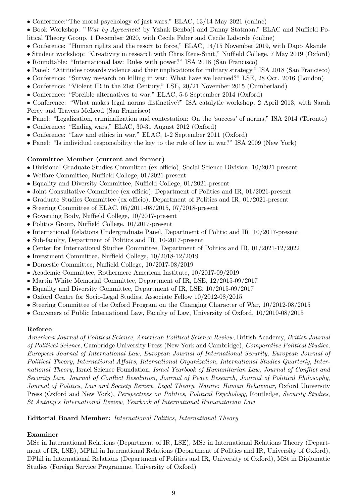- Conference:"The moral psychology of just wars," ELAC, 13/14 May 2021 (online)
- Book Workshop: "War by Agreement by Yzhak Benbaji and Danny Statman," ELAC and Nuffield Political Theory Group, 1 December 2020, with Cecile Faber and Cecile Laborde (online)
- Conference: "Human rights and the resort to force," ELAC, 14/15 November 2019, with Dapo Akande
- Student workshop: "Creativity in research with Chris Reus-Smit," Nuffield College, 7 May 2019 (Oxford)
- Roundtable: "International law: Rules with power?" ISA 2018 (San Francisco)
- Panel: "Attitudes towards violence and their implications for military strategy," ISA 2018 (San Francisco)
- Conference: "Survey research on killing in war: What have we learned?" LSE, 28 Oct. 2016 (London)
- Conference: "Violent IR in the 21st Century," LSE, 20/21 November 2015 (Cumberland)
- Conference: "Forcible alternatives to war," ELAC, 5-6 September 2014 (Oxford)

• Conference: "What makes legal norms distinctive?" ISA catalytic workshop, 2 April 2013, with Sarah Percy and Travers McLeod (San Francisco)

- Panel: "Legalization, criminalization and contestation: On the 'success' of norms," ISA 2014 (Toronto)
- Conference: "Ending wars," ELAC, 30-31 August 2012 (Oxford)
- Conference: "Law and ethics in war," ELAC, 1-2 September 2011 (Oxford)
- Panel: "Is individual responsibility the key to the rule of law in war?" ISA 2009 (New York)

# Committee Member (current and former)

- Divisional Graduate Studies Committee (ex officio), Social Science Division, 10/2021-present
- Welfare Committee, Nuffield College, 01/2021-present
- Equality and Diversity Committee, Nuffield College, 01/2021-present
- Joint Consultative Committee (ex officio), Department of Politics and IR, 01/2021-present
- Graduate Studies Committee (ex officio), Department of Politics and IR, 01/2021-present
- Steering Committee of ELAC, 05/2011-08/2015, 07/2018-present
- Governing Body, Nuffield College, 10/2017-present
- Politics Group, Nuffield College, 10/2017-present
- International Relations Undergraduate Panel, Department of Politic and IR, 10/2017-present
- Sub-faculty, Department of Politics and IR, 10-2017-present
- Center for International Studies Committee, Department of Politics and IR, 01/2021-12/2022
- Investment Committee, Nuffield College, 10/2018-12/2019
- Domestic Committee, Nuffield College, 10/2017-08/2019
- Academic Committee, Rothermere American Institute, 10/2017-09/2019
- Martin White Memorial Committee, Department of IR, LSE, 12/2015-09/2017
- Equality and Diversity Committee, Department of IR, LSE, 10/2015-09/2017
- Oxford Centre for Socio-Legal Studies, Associate Fellow 10/2012-08/2015
- Steering Committee of the Oxford Program on the Changing Character of War,  $10/2012-08/2015$
- Conveners of Public International Law, Faculty of Law, University of Oxford,  $10/2010-08/2015$

# Referee

American Journal of Political Science, American Political Science Review, British Academy, British Journal of Political Science, Cambridge University Press (New York and Cambridge), Comparative Political Studies, European Journal of International Law, European Journal of International Security, European Journal of Political Theory, International Affairs, International Organization, International Studies Quarterly, International Theory, Israel Science Foundation, Israel Yearbook of Humanitarian Law, Journal of Conflict and Security Law, Journal of Conflict Resolution, Journal of Peace Research, Journal of Political Philosophy, Journal of Politics, Law and Society Review, Legal Theory, Nature: Human Behaviour, Oxford University Press (Oxford and New York), *Perspectives on Politics*, *Political Psychology*, Routledge, *Security Studies*, St Antony's International Review, Yearbook of International Humanitarian Law

Editorial Board Member: International Politics, International Theory

# Examiner

MSc in International Relations (Department of IR, LSE), MSc in International Relations Theory (Department of IR, LSE), MPhil in International Relations (Department of Politics and IR, University of Oxford), DPhil in International Relations (Department of Politics and IR, University of Oxford), MSt in Diplomatic Studies (Foreign Service Programme, University of Oxford)